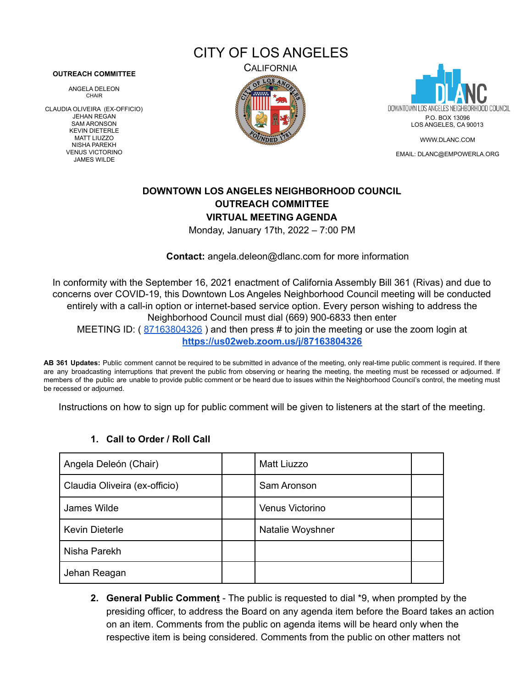CITY OF LOS ANGELES

#### **OUTREACH COMMITTEE**

ANGELA DELEON CHAIR

CLAUDIA OLIVEIRA (EX-OFFICIO) JEHAN REGAN SAM ARONSON KEVIN DIETERLE MATT LIUZZO NISHA PAREKH VENUS VICTORINO JAMES WILDE





[WWW.DLANC.COM](http://www.dlanc.com)

EMAIL: [DLANC@EMPOWERLA.ORG](mailto:DLANC@EMPOWERLA.ORG)

# **DOWNTOWN LOS ANGELES NEIGHBORHOOD COUNCIL OUTREACH COMMITTEE VIRTUAL MEETING AGENDA**

Monday, January 17th, 2022 – 7:00 PM

**Contact:** [angela.deleon@dlanc.com](mailto:angela.deleon@dlanc.com) for more information

In conformity with the September 16, 2021 enactment of California Assembly Bill 361 (Rivas) and due to concerns over COVID-19, this Downtown Los Angeles Neighborhood Council meeting will be conducted entirely with a call-in option or internet-based service option. Every person wishing to address the Neighborhood Council must dial (669) 900-6833 then enter MEETING ID: ([87163804326](https://us02web.zoom.us/j/87163804326)) and then press # to join the meeting or use the zoom login at **<https://us02web.zoom.us/j/87163804326>**

**AB 361 Updates:** Public comment cannot be required to be submitted in advance of the meeting, only real-time public comment is required. If there are any broadcasting interruptions that prevent the public from observing or hearing the meeting, the meeting must be recessed or adjourned. If members of the public are unable to provide public comment or be heard due to issues within the Neighborhood Council's control, the meeting must be recessed or adjourned.

Instructions on how to sign up for public comment will be given to listeners at the start of the meeting.

| Angela Deleón (Chair)         | Matt Liuzzo      |  |
|-------------------------------|------------------|--|
| Claudia Oliveira (ex-officio) | Sam Aronson      |  |
| James Wilde                   | Venus Victorino  |  |
| <b>Kevin Dieterle</b>         | Natalie Woyshner |  |
| Nisha Parekh                  |                  |  |
| Jehan Reagan                  |                  |  |

### **1. Call to Order / Roll Call**

**2. General Public Comment** - The public is requested to dial \*9, when prompted by the presiding officer, to address the Board on any agenda item before the Board takes an action on an item. Comments from the public on agenda items will be heard only when the respective item is being considered. Comments from the public on other matters not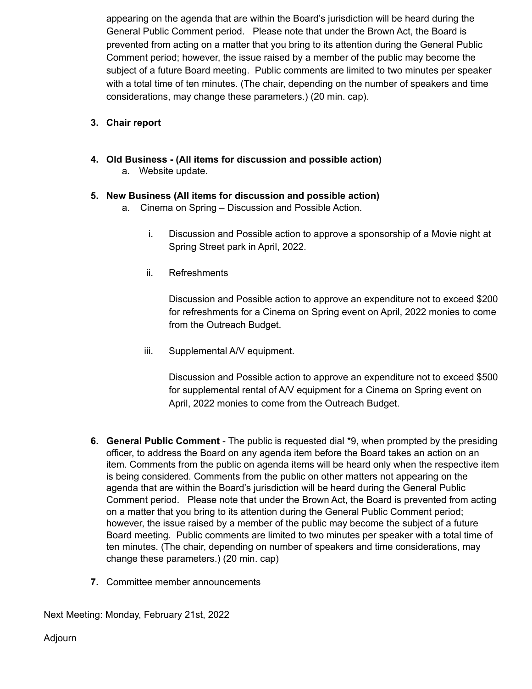appearing on the agenda that are within the Board's jurisdiction will be heard during the General Public Comment period. Please note that under the Brown Act, the Board is prevented from acting on a matter that you bring to its attention during the General Public Comment period; however, the issue raised by a member of the public may become the subject of a future Board meeting. Public comments are limited to two minutes per speaker with a total time of ten minutes. (The chair, depending on the number of speakers and time considerations, may change these parameters.) (20 min. cap).

## **3. Chair report**

**4. Old Business - (All items for discussion and possible action)** a. Website update.

### **5. New Business (All items for discussion and possible action)**

- a. Cinema on Spring Discussion and Possible Action.
	- i. Discussion and Possible action to approve a sponsorship of a Movie night at Spring Street park in April, 2022.
	- ii. Refreshments

Discussion and Possible action to approve an expenditure not to exceed \$200 for refreshments for a Cinema on Spring event on April, 2022 monies to come from the Outreach Budget.

iii. Supplemental A/V equipment.

Discussion and Possible action to approve an expenditure not to exceed \$500 for supplemental rental of A/V equipment for a Cinema on Spring event on April, 2022 monies to come from the Outreach Budget.

- **6. General Public Comment** The public is requested dial \*9, when prompted by the presiding officer, to address the Board on any agenda item before the Board takes an action on an item. Comments from the public on agenda items will be heard only when the respective item is being considered. Comments from the public on other matters not appearing on the agenda that are within the Board's jurisdiction will be heard during the General Public Comment period. Please note that under the Brown Act, the Board is prevented from acting on a matter that you bring to its attention during the General Public Comment period; however, the issue raised by a member of the public may become the subject of a future Board meeting. Public comments are limited to two minutes per speaker with a total time of ten minutes. (The chair, depending on number of speakers and time considerations, may change these parameters.) (20 min. cap)
- **7.** Committee member announcements

Next Meeting: Monday, February 21st, 2022

Adjourn